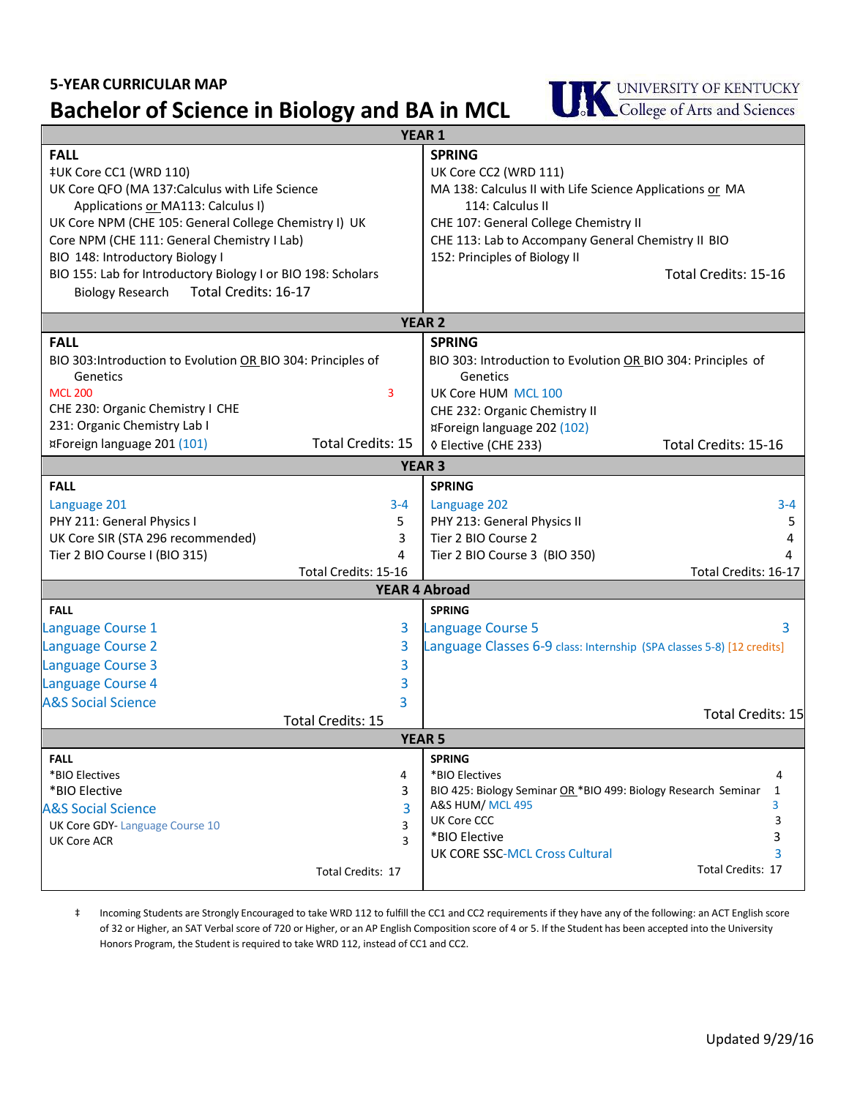## **5-YEAR CURRICULAR MAP**

## **Bachelor of Science in Biology and BA in MCL**



| <b>YEAR 1</b>                                                |                                                                       |
|--------------------------------------------------------------|-----------------------------------------------------------------------|
| <b>FALL</b>                                                  | <b>SPRING</b>                                                         |
| ‡UK Core CC1 (WRD 110)                                       | UK Core CC2 (WRD 111)                                                 |
| UK Core QFO (MA 137: Calculus with Life Science              | MA 138: Calculus II with Life Science Applications or MA              |
| Applications or MA113: Calculus I)                           | 114: Calculus II                                                      |
| UK Core NPM (CHE 105: General College Chemistry I) UK        | CHE 107: General College Chemistry II                                 |
| Core NPM (CHE 111: General Chemistry I Lab)                  | CHE 113: Lab to Accompany General Chemistry II BIO                    |
| BIO 148: Introductory Biology I                              | 152: Principles of Biology II                                         |
| BIO 155: Lab for Introductory Biology I or BIO 198: Scholars | Total Credits: 15-16                                                  |
| Total Credits: 16-17<br><b>Biology Research</b>              |                                                                       |
|                                                              | <b>YEAR 2</b>                                                         |
| <b>FALL</b>                                                  | <b>SPRING</b>                                                         |
| BIO 303: Introduction to Evolution OR BIO 304: Principles of | BIO 303: Introduction to Evolution OR BIO 304: Principles of          |
| Genetics                                                     | Genetics                                                              |
| <b>MCL 200</b><br>3                                          | UK Core HUM MCL 100                                                   |
| CHE 230: Organic Chemistry I CHE                             | CHE 232: Organic Chemistry II                                         |
| 231: Organic Chemistry Lab I                                 | ¤Foreign language 202 (102)                                           |
| <b>Total Credits: 15</b><br>¤Foreign language 201 (101)      | ◊ Elective (CHE 233)<br>Total Credits: 15-16                          |
|                                                              |                                                                       |
| <b>YEAR 3</b><br><b>FALL</b><br><b>SPRING</b>                |                                                                       |
|                                                              |                                                                       |
| Language 201<br>$3 - 4$                                      | Language 202<br>$3 - 4$                                               |
| PHY 211: General Physics I<br>5.                             | PHY 213: General Physics II<br>5<br>Tier 2 BIO Course 2               |
| UK Core SIR (STA 296 recommended)<br>3<br>4                  | 4                                                                     |
| Tier 2 BIO Course I (BIO 315)<br>Total Credits: 15-16        | Tier 2 BIO Course 3 (BIO 350)<br>Total Credits: 16-17                 |
| <b>YEAR 4 Abroad</b>                                         |                                                                       |
| <b>SPRING</b><br><b>FALL</b>                                 |                                                                       |
| Language Course 1<br>3                                       | 3<br>Language Course 5                                                |
| Language Course 2<br>3                                       | Language Classes 6-9 class: Internship (SPA classes 5-8) [12 credits] |
| 3                                                            |                                                                       |
| Language Course 3                                            |                                                                       |
| Language Course 4<br>3                                       |                                                                       |
| <b>A&amp;S Social Science</b><br>3                           | <b>Total Credits: 15</b>                                              |
| <b>Total Credits: 15</b>                                     |                                                                       |
| <b>YEAR 5</b><br><b>SPRING</b><br><b>FALL</b>                |                                                                       |
| *BIO Electives<br>4                                          | *BIO Electives<br>4                                                   |
| *BIO Elective<br>3                                           | BIO 425: Biology Seminar OR *BIO 499: Biology Research Seminar<br>1   |
| <b>A&amp;S Social Science</b><br>3                           | 3<br>A&S HUM/ MCL 495                                                 |
| <b>UK Core GDY-Language Course 10</b><br>3                   | 3<br>UK Core CCC                                                      |
| 3<br>UK Core ACR                                             | *BIO Elective<br>3                                                    |
|                                                              | 3<br><b>UK CORE SSC-MCL Cross Cultural</b>                            |
| Total Credits: 17                                            | Total Credits: 17                                                     |
|                                                              |                                                                       |

‡ Incoming Students are Strongly Encouraged to take WRD 112 to fulfill the CC1 and CC2 requirements if they have any of the following: an ACT English score Honors Program, the Student is required to take WRD 112, instead of CC1 and CC2. of 32 or Higher, an SAT Verbal score of 720 or Higher, or an AP English Composition score of 4 or 5. If the Student has been accepted into the University